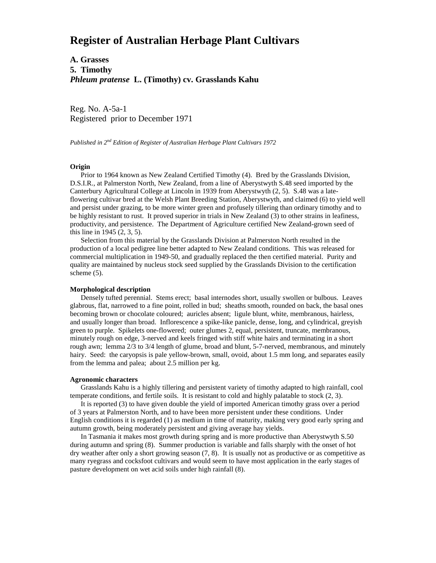# **Register of Australian Herbage Plant Cultivars**

**A. Grasses 5. Timothy** *Phleum pratense* **L. (Timothy) cv. Grasslands Kahu**

Reg. No. A-5a-1 Registered prior to December 1971

*Published in 2nd Edition of Register of Australian Herbage Plant Cultivars 1972*

#### **Origin**

 Prior to 1964 known as New Zealand Certified Timothy (4). Bred by the Grasslands Division, D.S.I.R., at Palmerston North, New Zealand, from a line of Aberystwyth S.48 seed imported by the Canterbury Agricultural College at Lincoln in 1939 from Aberystwyth (2, 5). S.48 was a lateflowering cultivar bred at the Welsh Plant Breeding Station, Aberystwyth, and claimed (6) to yield well and persist under grazing, to be more winter green and profusely tillering than ordinary timothy and to be highly resistant to rust. It proved superior in trials in New Zealand (3) to other strains in leafiness, productivity, and persistence. The Department of Agriculture certified New Zealand-grown seed of this line in 1945 (2, 3, 5).

 Selection from this material by the Grasslands Division at Palmerston North resulted in the production of a local pedigree line better adapted to New Zealand conditions. This was released for commercial multiplication in 1949-50, and gradually replaced the then certified material. Purity and quality are maintained by nucleus stock seed supplied by the Grasslands Division to the certification scheme (5).

### **Morphological description**

 Densely tufted perennial. Stems erect; basal internodes short, usually swollen or bulbous. Leaves glabrous, flat, narrowed to a fine point, rolled in bud; sheaths smooth, rounded on back, the basal ones becoming brown or chocolate coloured; auricles absent; ligule blunt, white, membranous, hairless, and usually longer than broad. Inflorescence a spike-like panicle, dense, long, and cylindrical, greyish green to purple. Spikelets one-flowered; outer glumes 2, equal, persistent, truncate, membranous, minutely rough on edge, 3-nerved and keels fringed with stiff white hairs and terminating in a short rough awn; lemma 2/3 to 3/4 length of glume, broad and blunt, 5-7-nerved, membranous, and minutely hairy. Seed: the caryopsis is pale yellow-brown, small, ovoid, about 1.5 mm long, and separates easily from the lemma and palea; about 2.5 million per kg.

### **Agronomic characters**

 Grasslands Kahu is a highly tillering and persistent variety of timothy adapted to high rainfall, cool temperate conditions, and fertile soils. It is resistant to cold and highly palatable to stock (2, 3).

 It is reported (3) to have given double the yield of imported American timothy grass over a period of 3 years at Palmerston North, and to have been more persistent under these conditions. Under English conditions it is regarded (1) as medium in time of maturity, making very good early spring and autumn growth, being moderately persistent and giving average hay yields.

 In Tasmania it makes most growth during spring and is more productive than Aberystwyth S.50 during autumn and spring (8). Summer production is variable and falls sharply with the onset of hot dry weather after only a short growing season (7, 8). It is usually not as productive or as competitive as many ryegrass and cocksfoot cultivars and would seem to have most application in the early stages of pasture development on wet acid soils under high rainfall (8).